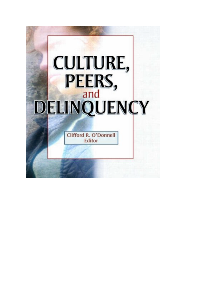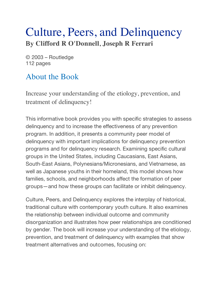## Culture, Peers, and Delinquency By **Clifford R O'Donnell**, **Joseph R Ferrari**

© 2003 – Routledge 112 pages

## About the Book

Increase your understanding of the etiology, prevention, and treatment of delinquency!

This informative book provides you with specific strategies to assess delinquency and to increase the effectiveness of any prevention program. In addition, it presents a community peer model of delinquency with important implications for delinquency prevention programs and for delinquency research. Examining specific cultural groups in the United States, including Caucasians, East Asians, South-East Asians, Polynesians/Micronesians, and Vietnamese, as well as Japanese youths in their homeland, this model shows how families, schools, and neighborhoods affect the formation of peer groups—and how these groups can facilitate or inhibit delinquency.

Culture, Peers, and Delinquency explores the interplay of historical, traditional culture with contemporary youth culture. It also examines the relationship between individual outcome and community disorganization and illustrates how peer relationships are conditioned by gender. The book will increase your understanding of the etiology, prevention, and treatment of delinquency with examples that show treatment alternatives and outcomes, focusing on: